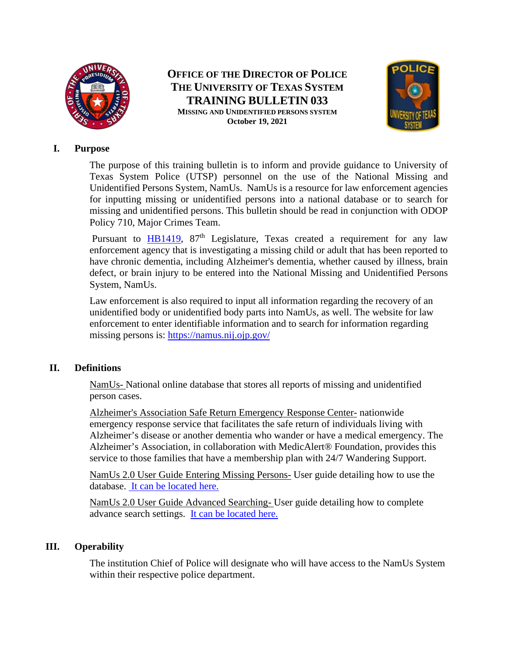

**OFFICE OF THE DIRECTOR OF POLICE THE UNIVERSITY OF TEXAS SYSTEM TRAINING BULLETIN 033 MISSING AND UNIDENTIFIED PERSONS SYSTEM October 19, 2021**



### **I. Purpose**

The purpose of this training bulletin is to inform and provide guidance to University of Texas System Police (UTSP) personnel on the use of the National Missing and Unidentified Persons System, NamUs. NamUs is a resource for law enforcement agencies for inputting missing or unidentified persons into a national database or to search for missing and unidentified persons. This bulletin should be read in conjunction with ODOP Policy 710, Major Crimes Team.

Pursuant to  $HB1419$ ,  $87<sup>th</sup>$  Legislature, Texas created a requirement for any law enforcement agency that is investigating a missing child or adult that has been reported to have chronic dementia, including Alzheimer's dementia, whether caused by illness, brain defect, or brain injury to be entered into the National Missing and Unidentified Persons System, NamUs.

Law enforcement is also required to input all information regarding the recovery of an unidentified body or unidentified body parts into NamUs, as well. The website for law enforcement to enter identifiable information and to search for information regarding missing persons is:<https://namus.nij.ojp.gov/>

## **II. Definitions**

NamUs- National online database that stores all reports of missing and unidentified person cases.

Alzheimer's Association Safe Return Emergency Response Center- nationwide emergency response service that facilitates the safe return of individuals living with Alzheimer's disease or another dementia who wander or have a medical emergency. The Alzheimer's Association, in collaboration with MedicAlert® Foundation, provides this service to those families that have a membership plan with 24/7 Wandering Support.

NamUs 2.0 User Guide Entering Missing Persons- User guide detailing how to use the database. [It can be located here.](https://namus.nij.ojp.gov/sites/g/files/xyckuh336/files/media/document/userguide-enteringmpcases.pdf)

NamUs 2.0 User Guide Advanced Searching- User guide detailing how to complete advance search settings. [It can be located here.](https://namus.nij.ojp.gov/sites/g/files/xyckuh336/files/media/document/userguide-advancedsearching.pdf)

## **III. Operability**

The institution Chief of Police will designate who will have access to the NamUs System within their respective police department.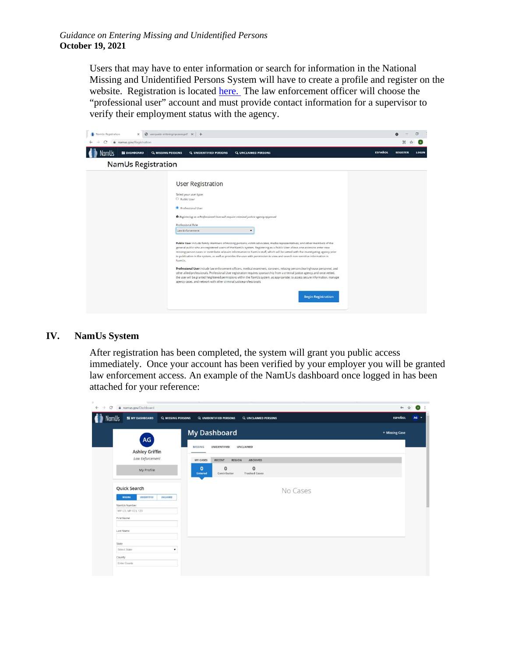Users that may have to enter information or search for information in the National Missing and Unidentified Persons System will have to create a profile and register on the website. Registration is located [here.](https://www.namus.gov/Registration) The law enforcement officer will choose the "professional user" account and must provide contact information for a supervisor to verify their employment status with the agency.

| @ userquide-enteringmpcases.pdf x +<br>NamUs Registration<br>× |                                                                                                                                                                                                                                                                                                                                                                                                                                                                                                                                                                                                                                                                                                                                                                                                                                                                                                                                                                                                                                                                                                                                                                                                                                                                      |                | $\circ$         |       |
|----------------------------------------------------------------|----------------------------------------------------------------------------------------------------------------------------------------------------------------------------------------------------------------------------------------------------------------------------------------------------------------------------------------------------------------------------------------------------------------------------------------------------------------------------------------------------------------------------------------------------------------------------------------------------------------------------------------------------------------------------------------------------------------------------------------------------------------------------------------------------------------------------------------------------------------------------------------------------------------------------------------------------------------------------------------------------------------------------------------------------------------------------------------------------------------------------------------------------------------------------------------------------------------------------------------------------------------------|----------------|-----------------|-------|
| namus.gov/Registration<br><b>NE DASHBOARD</b>                  | Q UNIDENTIFIED PERSONS<br><b>Q UNCLAIMED PERSONS</b><br>Q MISSING PERSONS                                                                                                                                                                                                                                                                                                                                                                                                                                                                                                                                                                                                                                                                                                                                                                                                                                                                                                                                                                                                                                                                                                                                                                                            | <b>ESPAÑOL</b> | <b>REGISTER</b> | LOGIN |
| <b>NamUs Registration</b>                                      |                                                                                                                                                                                                                                                                                                                                                                                                                                                                                                                                                                                                                                                                                                                                                                                                                                                                                                                                                                                                                                                                                                                                                                                                                                                                      |                |                 |       |
|                                                                | User Registration<br>Select your user type:<br>O Public User<br>Professional User<br><b>O</b> Registering as a Professional User will require criminal justice agency approval<br>Professional Role<br>Law Enforcement<br>Public User include family members of missing persons, victim advocates, media representatives, and other members of the<br>general public who are registered users of the NamUs system. Registering as a Public User allows one access to enter new<br>missing person cases or contribute relevant information to NamUs staff, which will be vetted with the investigating agency prior<br>to publication in the system, as well as provides the user with permission to view and search non-sensitive information in<br>NamUs.<br>Professional User include law enforcement officers, medical examiners, coroners, missing person clearinghouse personnel, and<br>other allied professionals. Professional User registration requires sponsorship from a criminal justice agency, and once vetted,<br>the user will be granted heightened permissions within the NamUs system, as appropriate: to access secure information, manage<br>agency cases, and network with other criminal justice professionals.<br><b>Begin Registration</b> |                |                 |       |

#### **IV. NamUs System**

After registration has been completed, the system will grant you public access immediately. Once your account has been verified by your employer you will be granted law enforcement access. An example of the NamUs dashboard once logged in has been attached for your reference:

| @ namus.gov/Dashboard<br>C<br>$\leftrightarrow$                    |                                                                                               | Or $\frac{1}{M}$<br>$\bullet$ |
|--------------------------------------------------------------------|-----------------------------------------------------------------------------------------------|-------------------------------|
| <b>NamUs</b><br><b>SE MY DASHBOARD</b><br><b>Q MISSING PERSONS</b> | <b>Q. UNIDENTIFIED PERSONS</b><br><b>Q UNCLAIMED PERSONS</b>                                  | <b>ESPAÑOL</b><br>$AG =$      |
| AG<br><b>Ashley Griffin</b>                                        | <b>My Dashboard</b><br>UNCLAIMED<br><b>UNIDENTIFIED</b><br><b>MISSING</b>                     | + Missing Case                |
| Law Enforcement                                                    | <b>MY CASES</b><br>RECENT<br><b>REGION</b><br>ARCHIVED                                        |                               |
| My Profile                                                         | $\bf{0}$<br>$\bf{o}$<br>$\mathbf{0}$<br>Contributor<br><b>Tracked Cases</b><br><b>Entered</b> |                               |
| Quick Search                                                       | No Cases                                                                                      |                               |
| <b>MISSING</b><br><b>UNIDENTIFIED</b><br>UNCLAIMED                 |                                                                                               |                               |
| NamUs Number                                                       |                                                                                               |                               |
| MP123, MP-123, 123                                                 |                                                                                               |                               |
| First Name                                                         |                                                                                               |                               |
| Last Name                                                          |                                                                                               |                               |
| State                                                              |                                                                                               |                               |
| Select State<br>۰                                                  |                                                                                               |                               |
| County                                                             |                                                                                               |                               |
| Enter County                                                       |                                                                                               |                               |
|                                                                    |                                                                                               |                               |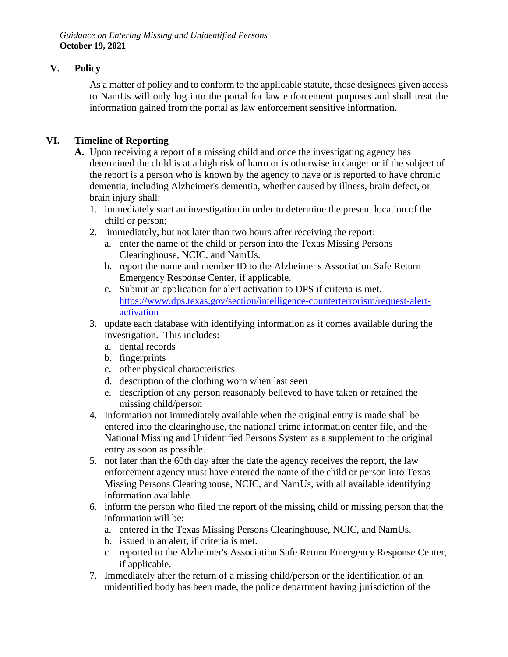*Guidance on Entering Missing and Unidentified Persons* **October 19, 2021**

# **V. Policy**

As a matter of policy and to conform to the applicable statute, those designees given access to NamUs will only log into the portal for law enforcement purposes and shall treat the information gained from the portal as law enforcement sensitive information.

# **VI. Timeline of Reporting**

- **A.** Upon receiving a report of a missing child and once the investigating agency has determined the child is at a high risk of harm or is otherwise in danger or if the subject of the report is a person who is known by the agency to have or is reported to have chronic dementia, including Alzheimer's dementia, whether caused by illness, brain defect, or brain injury shall:
	- 1. immediately start an investigation in order to determine the present location of the child or person;
	- 2. immediately, but not later than two hours after receiving the report:
		- a. enter the name of the child or person into the Texas Missing Persons Clearinghouse, NCIC, and NamUs.
		- b. report the name and member ID to the Alzheimer's Association Safe Return Emergency Response Center, if applicable.
		- c. Submit an application for alert activation to DPS if criteria is met. [https://www.dps.texas.gov/section/intelligence-counterterrorism/request-alert](https://www.dps.texas.gov/section/intelligence-counterterrorism/request-alert-activation)[activation](https://www.dps.texas.gov/section/intelligence-counterterrorism/request-alert-activation)
	- 3. update each database with identifying information as it comes available during the investigation. This includes:
		- a. dental records
		- b. fingerprints
		- c. other physical characteristics
		- d. description of the clothing worn when last seen
		- e. description of any person reasonably believed to have taken or retained the missing child/person
	- 4. Information not immediately available when the original entry is made shall be entered into the clearinghouse, the national crime information center file, and the National Missing and Unidentified Persons System as a supplement to the original entry as soon as possible.
	- 5. not later than the 60th day after the date the agency receives the report, the law enforcement agency must have entered the name of the child or person into Texas Missing Persons Clearinghouse, NCIC, and NamUs, with all available identifying information available.
	- 6. inform the person who filed the report of the missing child or missing person that the information will be:
		- a. entered in the Texas Missing Persons Clearinghouse, NCIC, and NamUs.
		- b. issued in an alert, if criteria is met.
		- c. reported to the Alzheimer's Association Safe Return Emergency Response Center, if applicable.
	- 7. Immediately after the return of a missing child/person or the identification of an unidentified body has been made, the police department having jurisdiction of the